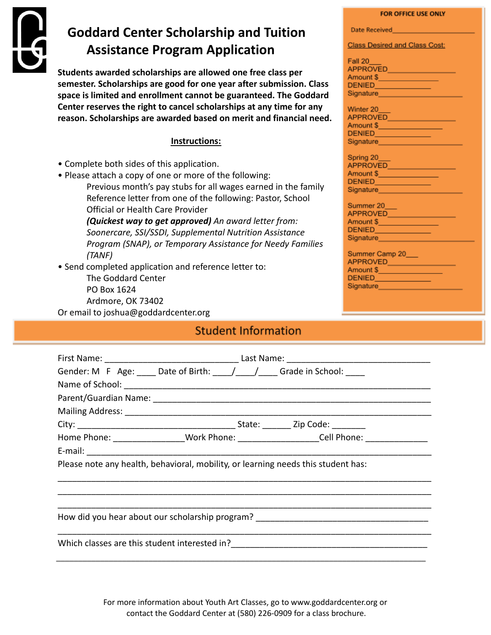

# **Goddard Center Scholarship and Tuition Assistance Program Application**

**Students awarded scholarships are allowed one free class per semester. Scholarships are good for one year after submission. Class space is limited and enrollment cannot be guaranteed. The Goddard Center reserves the right to cancel scholarships at any time for any reason. Scholarships are awarded based on merit and financial need.**

### **Instructions:**

- Complete both sides of this application.
- Please attach a copy of one or more of the following: Previous month's pay stubs for all wages earned in the family Reference letter from one of the following: Pastor, School Official or Health Care Provider

*(Quickest way to get approved) An award letter from: Soonercare, SSI/SSDI, Supplemental Nutrition Assistance Program (SNAP), or Temporary Assistance for Needy Families (TANF)*

• Send completed application and reference letter to: The Goddard Center PO Box 1624 Ardmore, OK 73402

Or email to joshua@goddardcenter.org

## **Student Information**

| Gender: M F Age: ____ Date of Birth: ___ / ___ / ___ Grade in School:             |                                                                                                     |
|-----------------------------------------------------------------------------------|-----------------------------------------------------------------------------------------------------|
|                                                                                   |                                                                                                     |
|                                                                                   |                                                                                                     |
|                                                                                   |                                                                                                     |
|                                                                                   |                                                                                                     |
|                                                                                   | Home Phone: ___________________Work Phone: _____________________Cell Phone: _______________________ |
|                                                                                   |                                                                                                     |
| Please note any health, behavioral, mobility, or learning needs this student has: |                                                                                                     |
|                                                                                   |                                                                                                     |
|                                                                                   |                                                                                                     |
|                                                                                   |                                                                                                     |
|                                                                                   |                                                                                                     |

For more information about Youth Art Classes, go to www.goddardcenter.org or contact the Goddard Center at (580) 226-0909 for a class brochure.

#### FOR OFFICE USE ONLY

| Date Received |  |
|---------------|--|
|               |  |
|               |  |

**Class Desired and Class Cost:** 

| Fall 20<br><b>APPROVED</b>                                              |  |
|-------------------------------------------------------------------------|--|
| Amount \$                                                               |  |
| <b>DENIED</b>                                                           |  |
| Signature                                                               |  |
| Winter 20<br><b>APPROVED</b><br>Amount \$<br><b>DENIED</b><br>Signature |  |

| Spring 20       |  |
|-----------------|--|
| <b>APPROVED</b> |  |
| Amount \$       |  |
| <b>DENIED</b>   |  |
| Signature       |  |

| Summer 20       |  |
|-----------------|--|
| <b>APPROVED</b> |  |
| Amount \$       |  |
| <b>DENIED</b>   |  |
| Signature       |  |
|                 |  |

| Summer Camp 20  |  |
|-----------------|--|
| APPROVED        |  |
| Amount <b>S</b> |  |
| DENIED          |  |
| Signature       |  |
|                 |  |